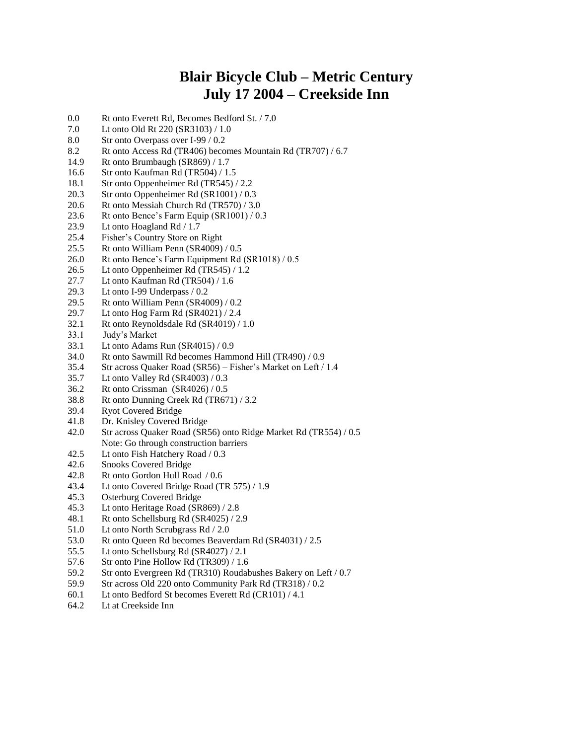## **Blair Bicycle Club – Metric Century July 17 2004 – Creekside Inn**

- 0.0 Rt onto Everett Rd, Becomes Bedford St. / 7.0
- 7.0 Lt onto Old Rt 220 (SR3103) / 1.0
- 8.0 Str onto Overpass over I-99 / 0.2
- 8.2 Rt onto Access Rd (TR406) becomes Mountain Rd (TR707) / 6.7
- 14.9 Rt onto Brumbaugh (SR869) / 1.7
- 16.6 Str onto Kaufman Rd (TR504) / 1.5
- 18.1 Str onto Oppenheimer Rd (TR545) / 2.2
- 20.3 Str onto Oppenheimer Rd (SR1001) / 0.3
- 20.6 Rt onto Messiah Church Rd (TR570) / 3.0
- 23.6 Rt onto Bence's Farm Equip (SR1001) / 0.3
- 23.9 Lt onto Hoagland Rd / 1.7
- 25.4 Fisher's Country Store on Right
- 25.5 Rt onto William Penn (SR4009) / 0.5
- 26.0 Rt onto Bence's Farm Equipment Rd (SR1018) / 0.5
- 26.5 Lt onto Oppenheimer Rd (TR545) / 1.2
- 27.7 Lt onto Kaufman Rd (TR504) / 1.6
- 29.3 Lt onto I-99 Underpass / 0.2
- 29.5 Rt onto William Penn (SR4009) / 0.2
- 29.7 Lt onto Hog Farm Rd (SR4021) / 2.4
- 32.1 Rt onto Reynoldsdale Rd (SR4019) / 1.0
- 33.1 Judy's Market
- 33.1 Lt onto Adams Run (SR4015) / 0.9
- 34.0 Rt onto Sawmill Rd becomes Hammond Hill (TR490) / 0.9
- 35.4 Str across Quaker Road (SR56) Fisher's Market on Left / 1.4
- 35.7 Lt onto Valley Rd (SR4003) / 0.3
- 36.2 Rt onto Crissman (SR4026) / 0.5
- 38.8 Rt onto Dunning Creek Rd (TR671) / 3.2
- 39.4 Ryot Covered Bridge
- 41.8 Dr. Knisley Covered Bridge
- 42.0 Str across Quaker Road (SR56) onto Ridge Market Rd (TR554) / 0.5 Note: Go through construction barriers
- 42.5 Lt onto Fish Hatchery Road / 0.3
- 42.6 Snooks Covered Bridge
- 42.8 Rt onto Gordon Hull Road / 0.6
- 43.4 Lt onto Covered Bridge Road (TR 575) / 1.9
- 45.3 Osterburg Covered Bridge
- 45.3 Lt onto Heritage Road (SR869) / 2.8
- 48.1 Rt onto Schellsburg Rd (SR4025) / 2.9
- 51.0 Lt onto North Scrubgrass Rd / 2.0
- 53.0 Rt onto Queen Rd becomes Beaverdam Rd (SR4031) / 2.5
- 55.5 Lt onto Schellsburg Rd (SR4027) / 2.1
- 57.6 Str onto Pine Hollow Rd (TR309) / 1.6
- 59.2 Str onto Evergreen Rd (TR310) Roudabushes Bakery on Left / 0.7
- 59.9 Str across Old 220 onto Community Park Rd (TR318) / 0.2
- 60.1 Lt onto Bedford St becomes Everett Rd (CR101) / 4.1
- 64.2 Lt at Creekside Inn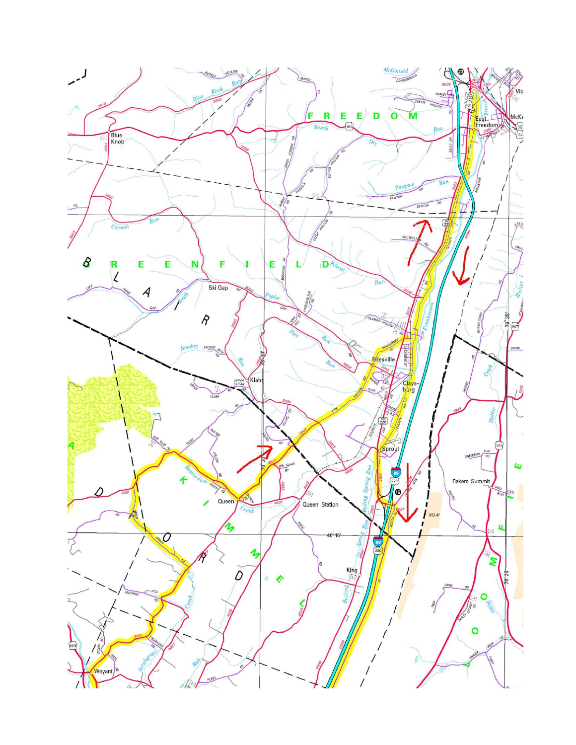